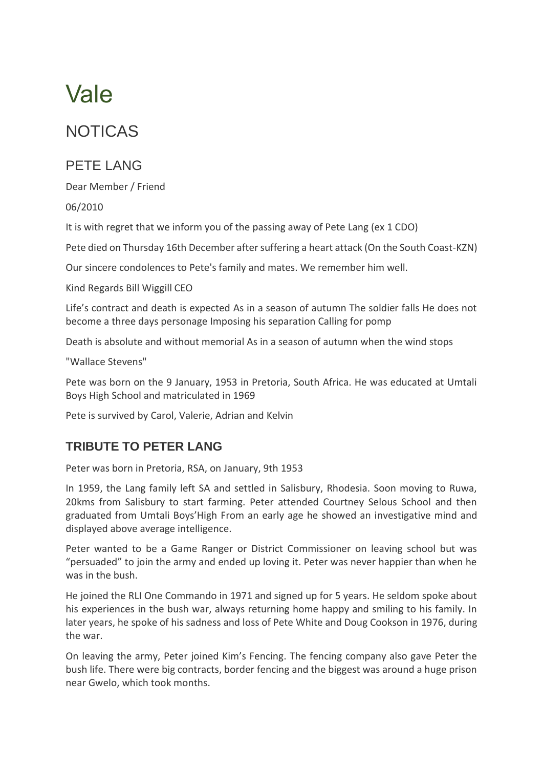## Vale

## NOTICAS

## PFTF LANG

Dear Member / Friend

06/2010

It is with regret that we inform you of the passing away of Pete Lang (ex 1 CDO)

Pete died on Thursday 16th December after suffering a heart attack (On the South Coast-KZN)

Our sincere condolences to Pete's family and mates. We remember him well.

Kind Regards Bill Wiggill CEO

Life's contract and death is expected As in a season of autumn The soldier falls He does not become a three days personage Imposing his separation Calling for pomp

Death is absolute and without memorial As in a season of autumn when the wind stops

"Wallace Stevens"

Pete was born on the 9 January, 1953 in Pretoria, South Africa. He was educated at Umtali Boys High School and matriculated in 1969

Pete is survived by Carol, Valerie, Adrian and Kelvin

## **TRIBUTE TO PETER LANG**

Peter was born in Pretoria, RSA, on January, 9th 1953

In 1959, the Lang family left SA and settled in Salisbury, Rhodesia. Soon moving to Ruwa, 20kms from Salisbury to start farming. Peter attended Courtney Selous School and then graduated from Umtali Boys'High From an early age he showed an investigative mind and displayed above average intelligence.

Peter wanted to be a Game Ranger or District Commissioner on leaving school but was "persuaded" to join the army and ended up loving it. Peter was never happier than when he was in the bush.

He joined the RLI One Commando in 1971 and signed up for 5 years. He seldom spoke about his experiences in the bush war, always returning home happy and smiling to his family. In later years, he spoke of his sadness and loss of Pete White and Doug Cookson in 1976, during the war.

On leaving the army, Peter joined Kim's Fencing. The fencing company also gave Peter the bush life. There were big contracts, border fencing and the biggest was around a huge prison near Gwelo, which took months.